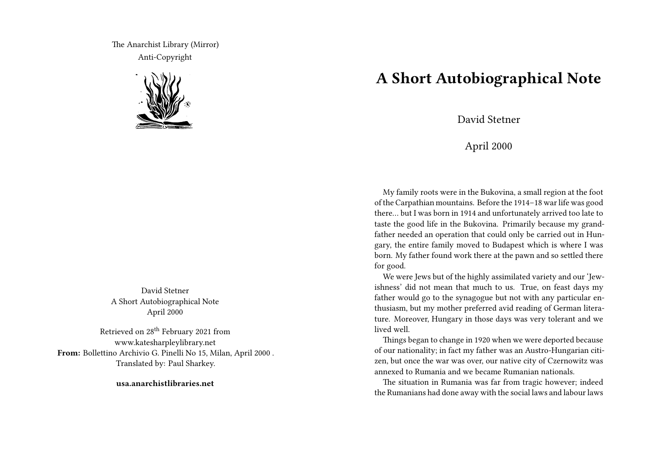The Anarchist Library (Mirror) Anti-Copyright



David Stetner A Short Autobiographical Note April 2000

Retrieved on 28<sup>th</sup> February 2021 from www.katesharpleylibrary.net **From:** Bollettino Archivio G. Pinelli No 15, Milan, April 2000 . Translated by: Paul Sharkey.

**usa.anarchistlibraries.net**

## **A Short Autobiographical Note**

David Stetner

## April 2000

My family roots were in the Bukovina, a small region at the foot of the Carpathian mountains. Before the 1914–18 war life was good there… but I was born in 1914 and unfortunately arrived too late to taste the good life in the Bukovina. Primarily because my grandfather needed an operation that could only be carried out in Hungary, the entire family moved to Budapest which is where I was born. My father found work there at the pawn and so settled there for good.

We were Jews but of the highly assimilated variety and our 'Jewishness' did not mean that much to us. True, on feast days my father would go to the synagogue but not with any particular enthusiasm, but my mother preferred avid reading of German literature. Moreover, Hungary in those days was very tolerant and we lived well.

Things began to change in 1920 when we were deported because of our nationality; in fact my father was an Austro-Hungarian citizen, but once the war was over, our native city of Czernowitz was annexed to Rumania and we became Rumanian nationals.

The situation in Rumania was far from tragic however; indeed the Rumanians had done away with the social laws and labour laws